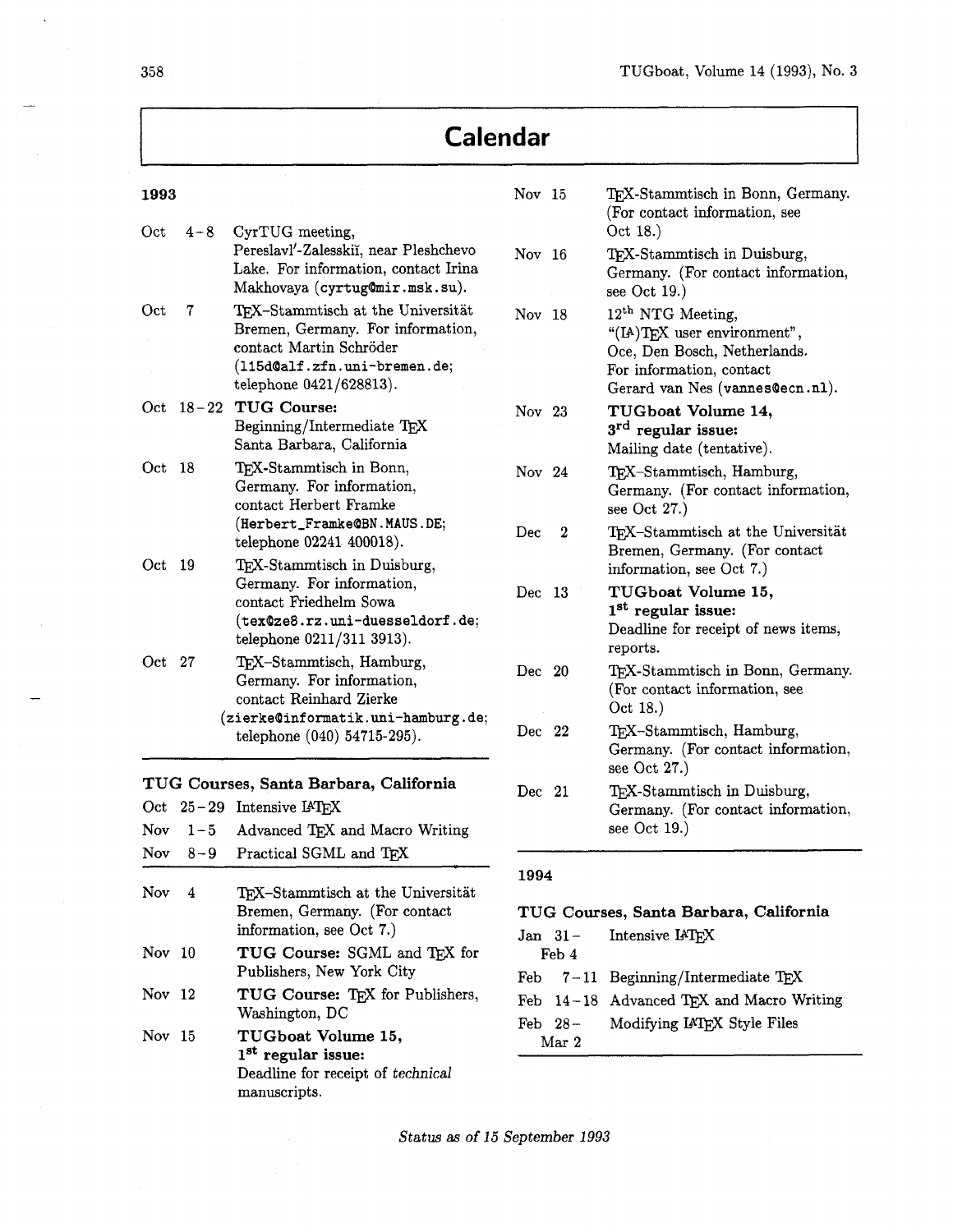## **Calendar**

| 1993   |         |                                                                                                                                                              | Nov 15                                                               |                  | TEX-Stammtisch in Bonn, Germany.<br>(For contact information, see                                                                                           |
|--------|---------|--------------------------------------------------------------------------------------------------------------------------------------------------------------|----------------------------------------------------------------------|------------------|-------------------------------------------------------------------------------------------------------------------------------------------------------------|
| Oct    | $4 - 8$ | CyrTUG meeting,<br>Pereslavl'-Zalesskii, near Pleshchevo<br>Lake. For information, contact Irina<br>Makhovaya (cyrtug@mir.msk.su).                           | Nov 16                                                               |                  | Oct 18.)<br>TEX-Stammtisch in Duisburg,<br>Germany. (For contact information,<br>see Oct $19.$ )                                                            |
| Oct    | 7       | TEX-Stammtisch at the Universität<br>Bremen, Germany. For information,<br>contact Martin Schröder<br>(115d@alf.zfn.uni-bremen.de;<br>telephone 0421/628813). | Nov 18                                                               |                  | 12 <sup>th</sup> NTG Meeting,<br>"(IA)TEX user environment",<br>Oce, Den Bosch, Netherlands.<br>For information, contact<br>Gerard van Nes (vannes@ecn.nl). |
|        |         | Oct 18-22 TUG Course:<br>Beginning/Intermediate TEX<br>Santa Barbara, California                                                                             | Nov 23                                                               |                  | TUGboat Volume 14,<br>3 <sup>rd</sup> regular issue:<br>Mailing date (tentative).                                                                           |
| Oct 18 |         | TEX-Stammtisch in Bonn,<br>Germany. For information,<br>contact Herbert Framke                                                                               | Nov 24                                                               |                  | TEX-Stammtisch, Hamburg,<br>Germany. (For contact information,<br>see Oct $27.$ )                                                                           |
| Oct 19 |         | (Herbert_Framke@BN.MAUS.DE;<br>telephone 02241 400018).<br>TEX-Stammtisch in Duisburg,                                                                       | Dec                                                                  | $\boldsymbol{2}$ | TEX-Stammtisch at the Universität<br>Bremen, Germany. (For contact<br>information, see Oct 7.)                                                              |
|        |         | Germany. For information,<br>contact Friedhelm Sowa<br>(tex@ze8.rz.uni-duesseldorf.de;<br>telephone 0211/311 3913).                                          | Dec 13                                                               |                  | TUGboat Volume 15,<br>1 <sup>st</sup> regular issue:<br>Deadline for receipt of news items,<br>reports.                                                     |
| Oct 27 |         | TEX-Stammtisch, Hamburg,<br>Germany. For information,<br>contact Reinhard Zierke                                                                             | Dec 20                                                               |                  | TEX-Stammtisch in Bonn, Germany.<br>(For contact information, see<br>Oct 18.)                                                                               |
|        |         | (zierke@informatik.uni-hamburg.de;<br>telephone (040) 54715-295).                                                                                            | Dec 22                                                               |                  | TEX-Stammtisch, Hamburg,<br>Germany. (For contact information,<br>see Oct $27.$ )                                                                           |
| Nov.   | $1 - 5$ | TUG Courses, Santa Barbara, California<br>Oct 25-29 Intensive IATEX<br>Advanced TEX and Macro Writing                                                        | Dec 21                                                               |                  | TEX-Stammtisch in Duisburg,<br>Germany. (For contact information,<br>see Oct $19.$ )                                                                        |
|        |         | Nov 8-9 Practical SGML and TEX                                                                                                                               | 1994                                                                 |                  |                                                                                                                                                             |
| Nov    | 4       | TEX-Stammtisch at the Universität<br>Bremen, Germany. (For contact<br>information, see Oct 7.)                                                               | TUG Courses, Santa Barbara, California<br>Intensive IATEX<br>Jan 31- |                  |                                                                                                                                                             |
| Nov 10 |         | TUG Course: SGML and TEX for<br>Publishers, New York City                                                                                                    |                                                                      | Feb 4            |                                                                                                                                                             |
| Nov 12 |         | TUG Course: TFX for Publishers,<br>Washington, DC                                                                                                            | Feb<br>Feb                                                           | Feb $28-$        | $7-11$ Beginning/Intermediate TEX<br>14-18 Advanced TEX and Macro Writing<br>Modifying IATEX Style Files                                                    |
| Nov 15 |         | TUGboat Volume 15,<br>1 <sup>st</sup> regular issue:<br>Deadline for receipt of technical                                                                    |                                                                      | Mar 2            |                                                                                                                                                             |

 $\ddot{\phantom{a}}$ 

-

Status as of 15 September 1993

manuscripts.